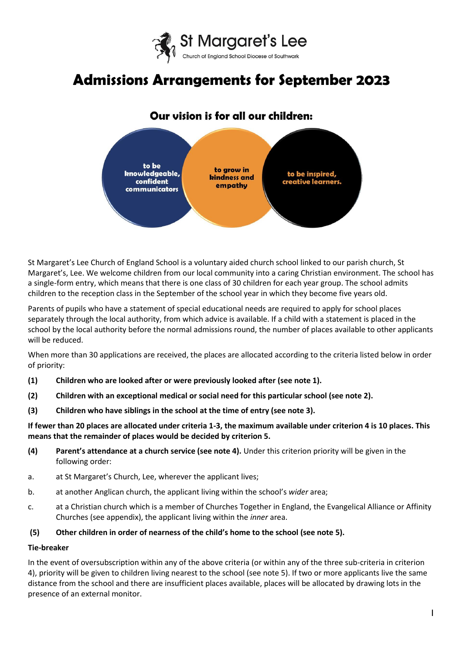

# **Admissions Arrangements for September 2023**

# Our vision is for all our children:



St Margaret's Lee Church of England School is a voluntary aided church school linked to our parish church, St Margaret's, Lee. We welcome children from our local community into a caring Christian environment. The school has a single-form entry, which means that there is one class of 30 children for each year group. The school admits children to the reception class in the September of the school year in which they become five years old.

Parents of pupils who have a statement of special educational needs are required to apply for school places separately through the local authority, from which advice is available. If a child with a statement is placed in the school by the local authority before the normal admissions round, the number of places available to other applicants will be reduced.

When more than 30 applications are received, the places are allocated according to the criteria listed below in order of priority:

- **(1) Children who are looked after or were previously looked after (see note 1).**
- **(2) Children with an exceptional medical or social need for this particular school (see note 2).**
- **(3) Children who have siblings in the school at the time of entry (see note 3).**

**If fewer than 20 places are allocated under criteria 1-3, the maximum available under criterion 4 is 10 places. This means that the remainder of places would be decided by criterion 5.** 

- **(4) Parent's attendance at a church service (see note 4).** Under this criterion priority will be given in the following order:
- a. at St Margaret's Church, Lee, wherever the applicant lives;
- b. at another Anglican church, the applicant living within the school's *wider* area;
- c. at a Christian church which is a member of Churches Together in England, the Evangelical Alliance or Affinity Churches (see appendix), the applicant living within the *inner* area.
- **(5) Other children in order of nearness of the child's home to the school (see note 5).**

# **Tie-breaker**

In the event of oversubscription within any of the above criteria (or within any of the three sub-criteria in criterion 4), priority will be given to children living nearest to the school (see note 5). If two or more applicants live the same distance from the school and there are insufficient places available, places will be allocated by drawing lots in the presence of an external monitor.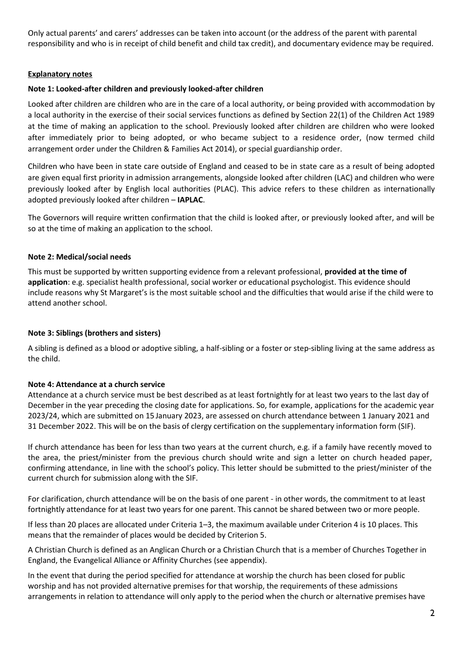Only actual parents' and carers' addresses can be taken into account (or the address of the parent with parental responsibility and who is in receipt of child benefit and child tax credit), and documentary evidence may be required.

# **Explanatory notes**

# **Note 1: Looked-after children and previously looked-after children**

Looked after children are children who are in the care of a local authority, or being provided with accommodation by a local authority in the exercise of their social services functions as defined by Section 22(1) of the Children Act 1989 at the time of making an application to the school. Previously looked after children are children who were looked after immediately prior to being adopted, or who became subject to a residence order, (now termed child arrangement order under the Children & Families Act 2014), or special guardianship order.

Children who have been in state care outside of England and ceased to be in state care as a result of being adopted are given equal first priority in admission arrangements, alongside looked after children (LAC) and children who were previously looked after by English local authorities (PLAC). This advice refers to these children as internationally adopted previously looked after children – **IAPLAC**.

The Governors will require written confirmation that the child is looked after, or previously looked after, and will be so at the time of making an application to the school.

# **Note 2: Medical/social needs**

This must be supported by written supporting evidence from a relevant professional, **provided at the time of application**: e.g. specialist health professional, social worker or educational psychologist. This evidence should include reasons why St Margaret's is the most suitable school and the difficulties that would arise if the child were to attend another school.

#### **Note 3: Siblings (brothers and sisters)**

A sibling is defined as a blood or adoptive sibling, a half-sibling or a foster or step-sibling living at the same address as the child.

#### **Note 4: Attendance at a church service**

Attendance at a church service must be best described as at least fortnightly for at least two years to the last day of December in the year preceding the closing date for applications. So, for example, applications for the academic year 2023/24, which are submitted on 15 January 2023, are assessed on church attendance between 1 January 2021 and 31 December 2022. This will be on the basis of clergy certification on the supplementary information form (SIF).

If church attendance has been for less than two years at the current church, e.g. if a family have recently moved to the area, the priest/minister from the previous church should write and sign a letter on church headed paper, confirming attendance, in line with the school's policy. This letter should be submitted to the priest/minister of the current church for submission along with the SIF.

For clarification, church attendance will be on the basis of one parent - in other words, the commitment to at least fortnightly attendance for at least two years for one parent. This cannot be shared between two or more people.

If less than 20 places are allocated under Criteria 1–3, the maximum available under Criterion 4 is 10 places. This means that the remainder of places would be decided by Criterion 5.

A Christian Church is defined as an Anglican Church or a Christian Church that is a member of Churches Together in England, the Evangelical Alliance or Affinity Churches (see appendix).

In the event that during the period specified for attendance at worship the church has been closed for public worship and has not provided alternative premises for that worship, the requirements of these admissions arrangements in relation to attendance will only apply to the period when the church or alternative premises have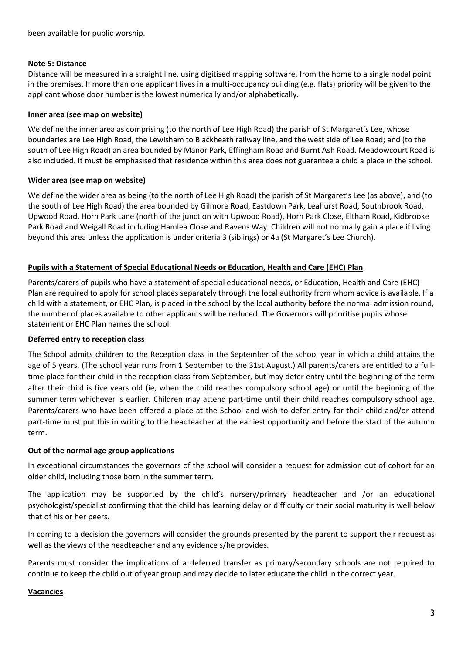# **Note 5: Distance**

Distance will be measured in a straight line, using digitised mapping software, from the home to a single nodal point in the premises. If more than one applicant lives in a multi-occupancy building (e.g. flats) priority will be given to the applicant whose door number is the lowest numerically and/or alphabetically.

# **Inner area (see map on website)**

We define the inner area as comprising (to the north of Lee High Road) the parish of St Margaret's Lee, whose boundaries are Lee High Road, the Lewisham to Blackheath railway line, and the west side of Lee Road; and (to the south of Lee High Road) an area bounded by Manor Park, Effingham Road and Burnt Ash Road. Meadowcourt Road is also included. It must be emphasised that residence within this area does not guarantee a child a place in the school.

# **Wider area (see map on website)**

We define the wider area as being (to the north of Lee High Road) the parish of St Margaret's Lee (as above), and (to the south of Lee High Road) the area bounded by Gilmore Road, Eastdown Park, Leahurst Road, Southbrook Road, Upwood Road, Horn Park Lane (north of the junction with Upwood Road), Horn Park Close, Eltham Road, Kidbrooke Park Road and Weigall Road including Hamlea Close and Ravens Way. Children will not normally gain a place if living beyond this area unless the application is under criteria 3 (siblings) or 4a (St Margaret's Lee Church).

# **Pupils with a Statement of Special Educational Needs or Education, Health and Care (EHC) Plan**

Parents/carers of pupils who have a statement of special educational needs, or Education, Health and Care (EHC) Plan are required to apply for school places separately through the local authority from whom advice is available. If a child with a statement, or EHC Plan, is placed in the school by the local authority before the normal admission round, the number of places available to other applicants will be reduced. The Governors will prioritise pupils whose statement or EHC Plan names the school.

# **Deferred entry to reception class**

The School admits children to the Reception class in the September of the school year in which a child attains the age of 5 years. (The school year runs from 1 September to the 31st August.) All parents/carers are entitled to a fulltime place for their child in the reception class from September, but may defer entry until the beginning of the term after their child is five years old (ie, when the child reaches compulsory school age) or until the beginning of the summer term whichever is earlier. Children may attend part-time until their child reaches compulsory school age. Parents/carers who have been offered a place at the School and wish to defer entry for their child and/or attend part-time must put this in writing to the headteacher at the earliest opportunity and before the start of the autumn term.

#### **Out of the normal age group applications**

In exceptional circumstances the governors of the school will consider a request for admission out of cohort for an older child, including those born in the summer term.

The application may be supported by the child's nursery/primary headteacher and /or an educational psychologist/specialist confirming that the child has learning delay or difficulty or their social maturity is well below that of his or her peers.

In coming to a decision the governors will consider the grounds presented by the parent to support their request as well as the views of the headteacher and any evidence s/he provides.

Parents must consider the implications of a deferred transfer as primary/secondary schools are not required to continue to keep the child out of year group and may decide to later educate the child in the correct year.

#### **Vacancies**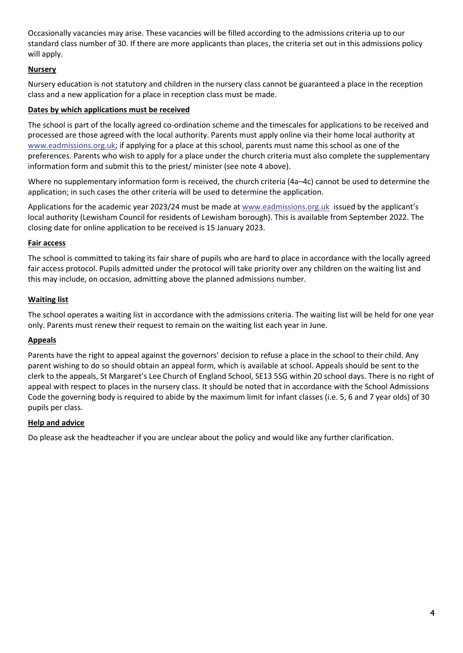Occasionally vacancies may arise. These vacancies will be filled according to the admissions criteria up to our standard class number of 30. If there are more applicants than places, the criteria set out in this admissions policy will apply.

# **Nursery**

Nursery education is not statutory and children in the nursery class cannot be guaranteed a place in the reception class and a new application for a place in reception class must be made.

# **Dates by which applications must be received**

The school is part of the locally agreed co-ordination scheme and the timescales for applications to be received and processed are those agreed with the local authority. Parents must apply online via their home local authority at [www.eadmissions.org.uk;](http://www.eadmissions.org.uk/) if applying for a place at this school, parents must name this school as one of the preferences. Parents who wish to apply for a place under the church criteria must also complete the supplementary information form and submit this to the priest/ minister (see note 4 above).

Where no supplementary information form is received, the church criteria (4a–4c) cannot be used to determine the application; in such cases the other criteria will be used to determine the application.

Applications for the academic year 2023/24 must be made a[t www.eadmissions.org.uk](http://www.eadmissions.org.uk/) issued by the applicant's local authority (Lewisham Council for residents of Lewisham borough). This is available from September 2022. The closing date for online application to be received is 15 January 2023.

# **Fair access**

The school is committed to taking its fair share of pupils who are hard to place in accordance with the locally agreed fair access protocol. Pupils admitted under the protocol will take priority over any children on the waiting list and this may include, on occasion, admitting above the planned admissions number.

# **Waiting list**

The school operates a waiting list in accordance with the admissions criteria. The waiting list will be held for one year only. Parents must renew their request to remain on the waiting list each year in June.

#### **Appeals**

Parents have the right to appeal against the governors' decision to refuse a place in the school to their child. Any parent wishing to do so should obtain an appeal form, which is available at school. Appeals should be sent to the clerk to the appeals, St Margaret's Lee Church of England School, SE13 5SG within 20 school days. There is no right of appeal with respect to places in the nursery class. It should be noted that in accordance with the School Admissions Code the governing body is required to abide by the maximum limit for infant classes (i.e. 5, 6 and 7 year olds) of 30 pupils per class.

#### **Help and advice**

Do please ask the headteacher if you are unclear about the policy and would like any further clarification.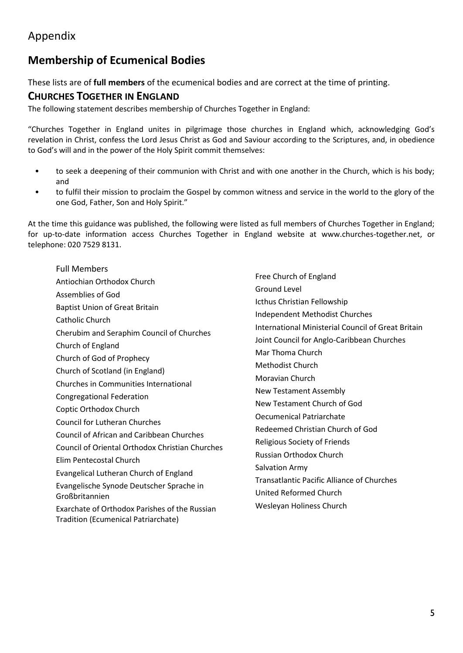# Appendix

# **Membership of Ecumenical Bodies**

These lists are of **full members** of the ecumenical bodies and are correct at the time of printing.

# **CHURCHES TOGETHER IN ENGLAND**

The following statement describes membership of Churches Together in England:

"Churches Together in England unites in pilgrimage those churches in England which, acknowledging God's revelation in Christ, confess the Lord Jesus Christ as God and Saviour according to the Scriptures, and, in obedience to God's will and in the power of the Holy Spirit commit themselves:

- to seek a deepening of their communion with Christ and with one another in the Church, which is his body; and
- to fulfil their mission to proclaim the Gospel by common witness and service in the world to the glory of the one God, Father, Son and Holy Spirit."

At the time this guidance was published, the following were listed as full members of Churches Together in England; for up-to-date information access Churches Together in England website at www.churches-together.net, or telephone: 020 7529 8131.

Full Members Antiochian Orthodox Church Assemblies of God Baptist Union of Great Britain Catholic Church Cherubim and Seraphim Council of Churches Church of England Church of God of Prophecy Church of Scotland (in England) Churches in Communities International Congregational Federation Coptic Orthodox Church Council for Lutheran Churches Council of African and Caribbean Churches Council of Oriental Orthodox Christian Churches Elim Pentecostal Church Evangelical Lutheran Church of England Evangelische Synode Deutscher Sprache in Großbritannien Exarchate of Orthodox Parishes of the Russian Tradition (Ecumenical Patriarchate)

Free Church of England Ground Level Icthus Christian Fellowship Independent Methodist Churches International Ministerial Council of Great Britain Joint Council for Anglo-Caribbean Churches Mar Thoma Church Methodist Church Moravian Church New Testament Assembly New Testament Church of God Oecumenical Patriarchate Redeemed Christian Church of God Religious Society of Friends Russian Orthodox Church Salvation Army Transatlantic Pacific Alliance of Churches United Reformed Church Wesleyan Holiness Church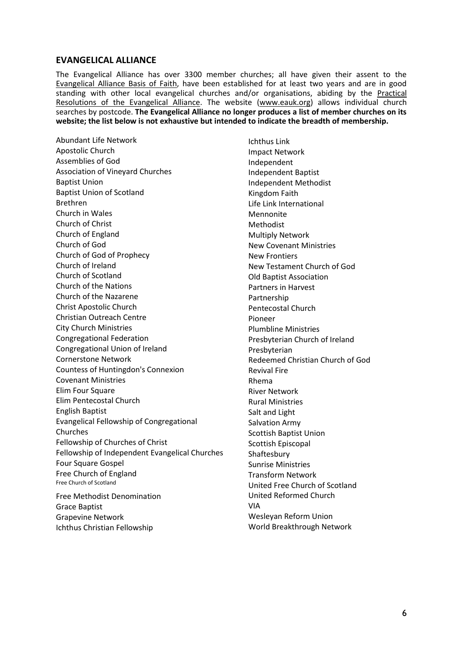# **EVANGELICAL ALLIANCE**

The Evangelical Alliance has over 3300 member churches; all have given their assent to the [Evangelical Alliance Basis of Faith,](http://www.eauk.org/about/basis-of-faith.cfm) have been established for at least two years and are in good standing with other local evangelical churches and/or organisations, abiding by the [Practical](http://www.eauk.org/about/practical-resolutions.cfm)  [Resolutions of the Evangelical Alliance.](http://www.eauk.org/about/practical-resolutions.cfm) The website [\(www.eauk.org\)](http://www.eauk.org/) allows individual church searches by postcode. **The Evangelical Alliance no longer produces a list of member churches on its website; the list below is not exhaustive but intended to indicate the breadth of membership.**

Abundant Life Network Apostolic Church Assemblies of God Association of Vineyard Churches Baptist Union Baptist Union of Scotland Brethren Church in Wales Church of Christ Church of England Church of God Church of God of Prophecy Church of Ireland Church of Scotland Church of the Nations Church of the Nazarene Christ Apostolic Church Christian Outreach Centre City Church Ministries Congregational Federation Congregational Union of Ireland Cornerstone Network Countess of Huntingdon's Connexion Covenant Ministries Elim Four Square Elim Pentecostal Church English Baptist Evangelical Fellowship of Congregational Churches Fellowship of Churches of Christ Fellowship of Independent Evangelical Churches Four Square Gospel Free Church of England Free Church of Scotland Free Methodist Denomination

Grace Baptist Grapevine Network Ichthus Christian Fellowship

Ichthus Link Impact Network Independent Independent Baptist Independent Methodist Kingdom Faith Life Link International Mennonite Methodist Multiply Network New Covenant Ministries New Frontiers New Testament Church of God Old Baptist Association Partners in Harvest Partnership Pentecostal Church Pioneer Plumbline Ministries Presbyterian Church of Ireland Presbyterian Redeemed Christian Church of God Revival Fire Rhema River Network Rural Ministries Salt and Light Salvation Army Scottish Baptist Union Scottish Episcopal Shaftesbury Sunrise Ministries Transform Network United Free Church of Scotland United Reformed Church VIA Wesleyan Reform Union World Breakthrough Network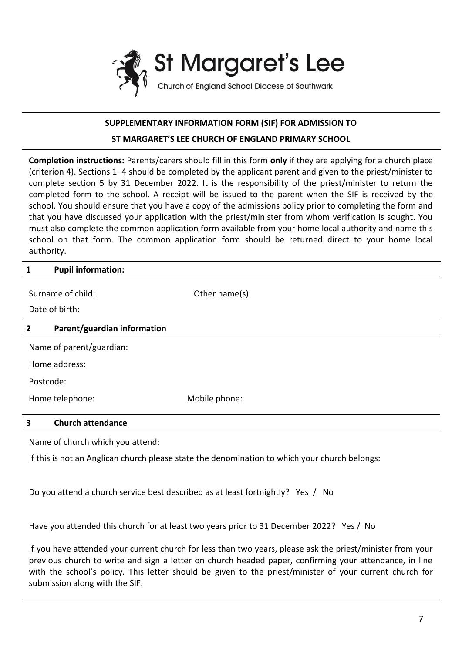

# **SUPPLEMENTARY INFORMATION FORM (SIF) FOR ADMISSION TO**

# **ST MARGARET'S LEE CHURCH OF ENGLAND PRIMARY SCHOOL**

**Completion instructions:** Parents/carers should fill in this form **only** if they are applying for a church place (criterion 4). Sections 1–4 should be completed by the applicant parent and given to the priest/minister to complete section 5 by 31 December 2022. It is the responsibility of the priest/minister to return the completed form to the school. A receipt will be issued to the parent when the SIF is received by the school. You should ensure that you have a copy of the admissions policy prior to completing the form and that you have discussed your application with the priest/minister from whom verification is sought. You must also complete the common application form available from your home local authority and name this school on that form. The common application form should be returned direct to your home local authority.

# **1 Pupil information:**

submission along with the SIF.

| Surname of child:                                                                                                                                                                                                                                                                                                               |                             | Other name(s): |
|---------------------------------------------------------------------------------------------------------------------------------------------------------------------------------------------------------------------------------------------------------------------------------------------------------------------------------|-----------------------------|----------------|
| Date of birth:                                                                                                                                                                                                                                                                                                                  |                             |                |
| $\mathbf{2}$                                                                                                                                                                                                                                                                                                                    | Parent/guardian information |                |
| Name of parent/guardian:                                                                                                                                                                                                                                                                                                        |                             |                |
| Home address:                                                                                                                                                                                                                                                                                                                   |                             |                |
| Postcode:                                                                                                                                                                                                                                                                                                                       |                             |                |
|                                                                                                                                                                                                                                                                                                                                 | Home telephone:             | Mobile phone:  |
| 3                                                                                                                                                                                                                                                                                                                               | <b>Church attendance</b>    |                |
| Name of church which you attend:                                                                                                                                                                                                                                                                                                |                             |                |
| If this is not an Anglican church please state the denomination to which your church belongs:                                                                                                                                                                                                                                   |                             |                |
| Do you attend a church service best described as at least fortnightly? Yes / No                                                                                                                                                                                                                                                 |                             |                |
| Have you attended this church for at least two years prior to 31 December 2022? Yes / No                                                                                                                                                                                                                                        |                             |                |
| If you have attended your current church for less than two years, please ask the priest/minister from your<br>previous church to write and sign a letter on church headed paper, confirming your attendance, in line<br>with the school's policy. This letter should be given to the priest/minister of your current church for |                             |                |